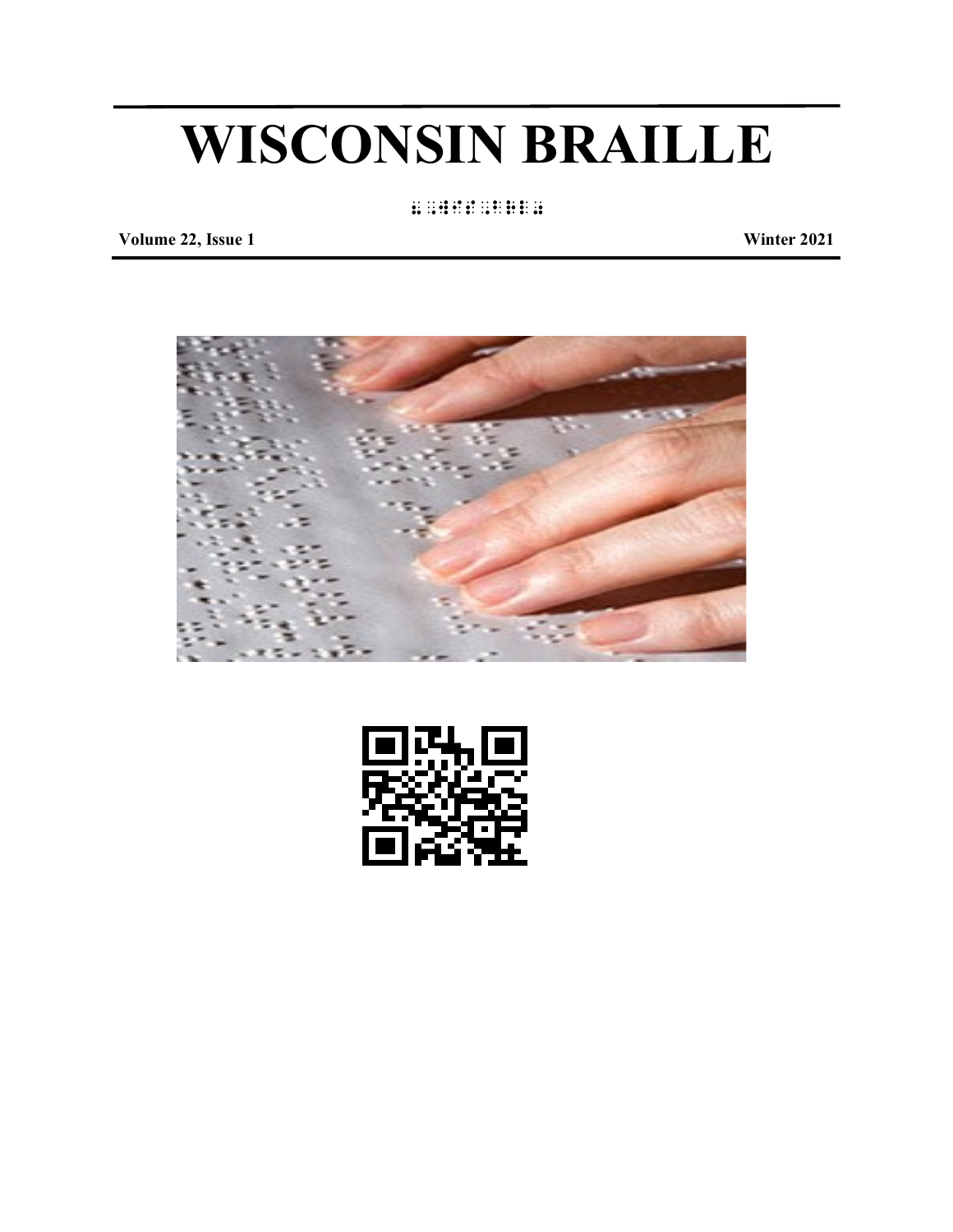# **WISCONSIN BRAILLE**

8,wis,brl0

**Volume 22, Issue 1 Winter 2021**



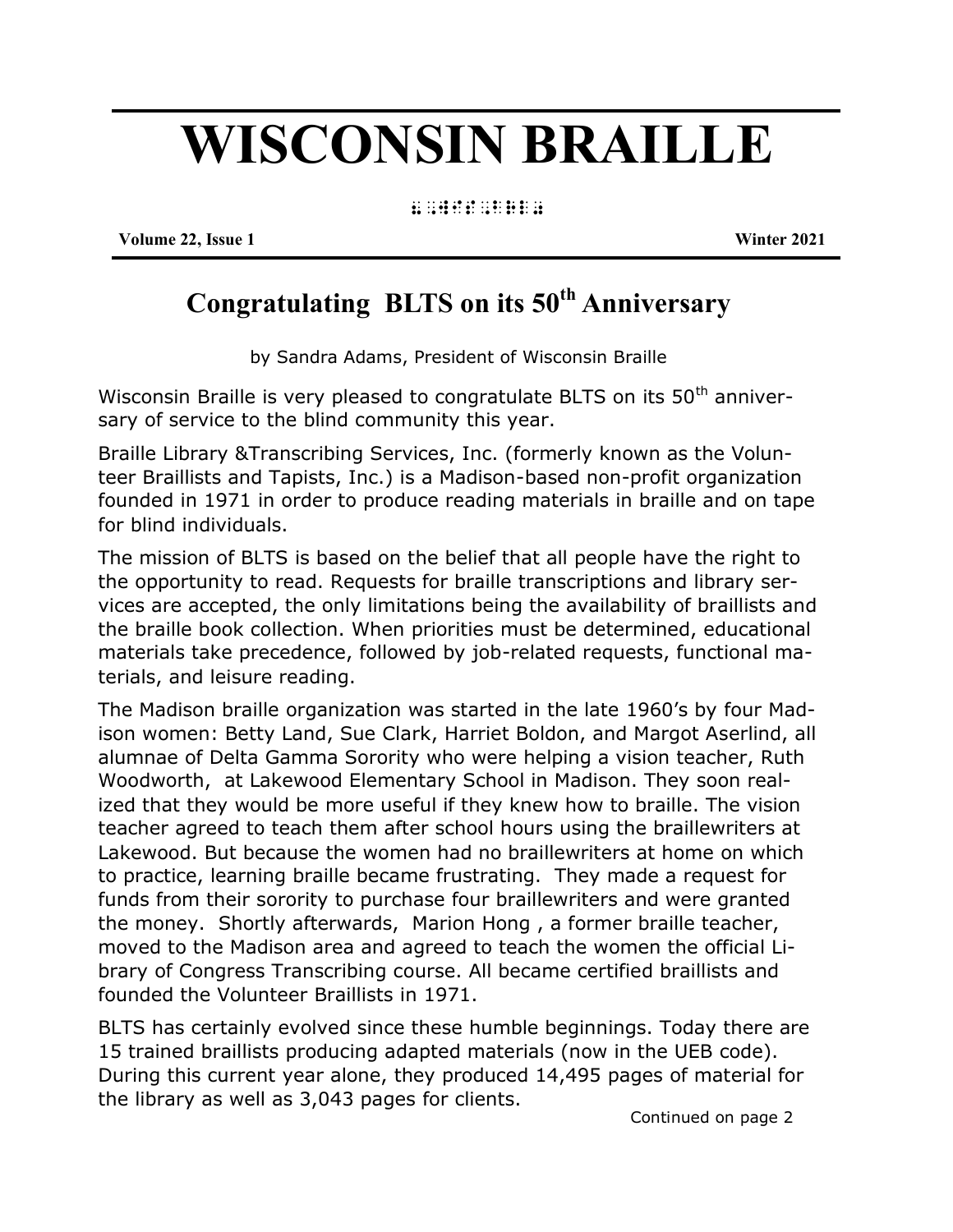# **WISCONSIN BRAILLE**

8, wis, britanic control of the control of the control of the control of the control of the control of the con<br>8, wis, britanic control of the control of the control of the control of the control of the control of the con

**Volume 22, Issue 1 Winter 2021**

# **Congratulating BLTS on its 50th Anniversary**

by Sandra Adams, President of Wisconsin Braille

Wisconsin Braille is very pleased to congratulate BLTS on its  $50<sup>th</sup>$  anniversary of service to the blind community this year.

Braille Library &Transcribing Services, Inc. (formerly known as the Volunteer Braillists and Tapists, Inc.) is a Madison-based non-profit organization founded in 1971 in order to produce reading materials in braille and on tape for blind individuals.

The mission of BLTS is based on the belief that all people have the right to the opportunity to read. Requests for braille transcriptions and library services are accepted, the only limitations being the availability of braillists and the braille book collection. When priorities must be determined, educational materials take precedence, followed by job-related requests, functional materials, and leisure reading.

The Madison braille organization was started in the late 1960's by four Madison women: Betty Land, Sue Clark, Harriet Boldon, and Margot Aserlind, all alumnae of Delta Gamma Sorority who were helping a vision teacher, Ruth Woodworth, at Lakewood Elementary School in Madison. They soon realized that they would be more useful if they knew how to braille. The vision teacher agreed to teach them after school hours using the braillewriters at Lakewood. But because the women had no braillewriters at home on which to practice, learning braille became frustrating. They made a request for funds from their sorority to purchase four braillewriters and were granted the money. Shortly afterwards, Marion Hong , a former braille teacher, moved to the Madison area and agreed to teach the women the official Library of Congress Transcribing course. All became certified braillists and founded the Volunteer Braillists in 1971.

BLTS has certainly evolved since these humble beginnings. Today there are 15 trained braillists producing adapted materials (now in the UEB code). During this current year alone, they produced 14,495 pages of material for the library as well as 3,043 pages for clients.

Continued on page 2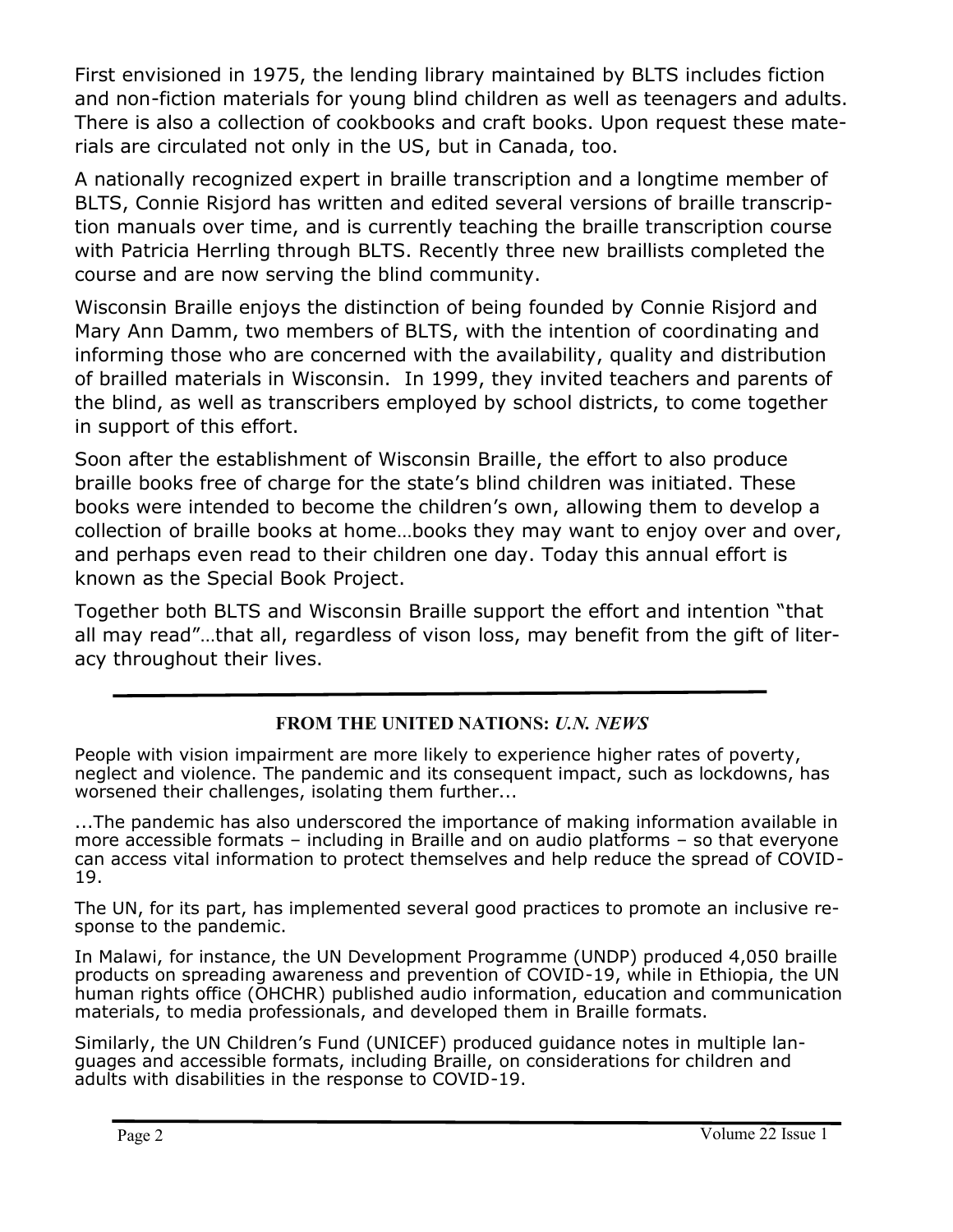First envisioned in 1975, the lending library maintained by BLTS includes fiction and non-fiction materials for young blind children as well as teenagers and adults. There is also a collection of cookbooks and craft books. Upon request these materials are circulated not only in the US, but in Canada, too.

A nationally recognized expert in braille transcription and a longtime member of BLTS, Connie Risjord has written and edited several versions of braille transcription manuals over time, and is currently teaching the braille transcription course with Patricia Herrling through BLTS. Recently three new braillists completed the course and are now serving the blind community.

Wisconsin Braille enjoys the distinction of being founded by Connie Risjord and Mary Ann Damm, two members of BLTS, with the intention of coordinating and informing those who are concerned with the availability, quality and distribution of brailled materials in Wisconsin. In 1999, they invited teachers and parents of the blind, as well as transcribers employed by school districts, to come together in support of this effort.

Soon after the establishment of Wisconsin Braille, the effort to also produce braille books free of charge for the state's blind children was initiated. These books were intended to become the children's own, allowing them to develop a collection of braille books at home…books they may want to enjoy over and over, and perhaps even read to their children one day. Today this annual effort is known as the Special Book Project.

Together both BLTS and Wisconsin Braille support the effort and intention "that all may read"…that all, regardless of vison loss, may benefit from the gift of literacy throughout their lives.

### **FROM THE UNITED NATIONS:** *U.N. NEWS*

People with vision impairment are more likely to [experience h](https://www.un.org/en/observances/braille-day)igher rates of poverty, neglect and violence. The pandemic and its consequent impact, such as lockdowns, has worsened their challenges, isolating them further...

...The pandemic has also underscored the importance of making information available in more accessible formats – including in Braille and on audio platforms – so that everyone can access vital information to protect themselves and help reduce the spread of [COVID](https://www.un.org/coronavirus)-[19.](https://www.un.org/coronavirus)

The UN, for its part, has [implemented s](https://www.un.org/en/observances/braille-day/stories)everal good practices to promote an inclusive response to the pandemic.

In Malawi, for instance, the UN Development Programme ([UNDP\)](https://www.undp.org/) produced 4,050 braille products on spreading awareness and prevention of COVID-19, while in Ethiopia, the UN human rights office ([OHCHR\)](http://www.ohchr.org/EN/pages/home.aspx) published audio information, education and communication materials, to media professionals, and developed them in Braille formats.

Similarly, the UN Children's Fund [\(UNICEF\)](https://www.unicef.org/) produced [guidance notes i](https://www.unicef.org/disabilities/)n multiple languages and accessible formats, including Braille, on considerations for children and adults with disabilities in the response to COVID-19.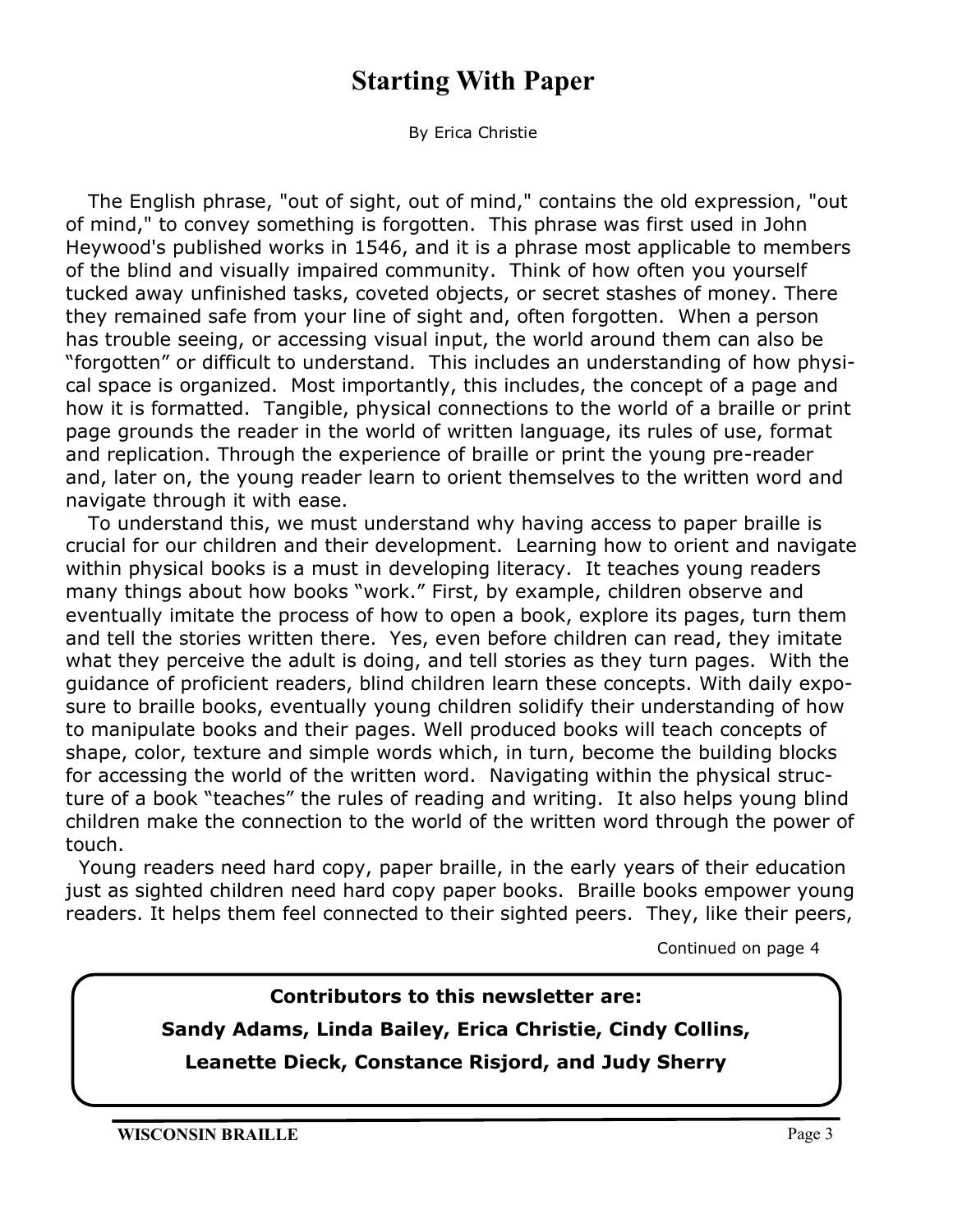# **Starting With Paper**

By Erica Christie

The English phrase, "out of sight, out of mind," contains the old expression, "out of mind," to convey something is forgotten. This phrase was first used in John Heywood's published works in 1546, and it is a phrase most applicable to members of the blind and visually impaired community. Think of how often you yourself tucked away unfinished tasks, coveted objects, or secret stashes of money. There they remained safe from your line of sight and, often forgotten. When a person has trouble seeing, or accessing visual input, the world around them can also be "forgotten" or difficult to understand. This includes an understanding of how physical space is organized. Most importantly, this includes, the concept of a page and how it is formatted. Tangible, physical connections to the world of a braille or print page grounds the reader in the world of written language, its rules of use, format and replication. Through the experience of braille or print the young pre-reader and, later on, the young reader learn to orient themselves to the written word and navigate through it with ease.

To understand this, we must understand why having access to paper braille is crucial for our children and their development. Learning how to orient and navigate within physical books is a must in developing literacy. It teaches young readers many things about how books "work." First, by example, children observe and eventually imitate the process of how to open a book, explore its pages, turn them and tell the stories written there. Yes, even before children can read, they imitate what they perceive the adult is doing, and tell stories as they turn pages. With the guidance of proficient readers, blind children learn these concepts. With daily exposure to braille books, eventually young children solidify their understanding of how to manipulate books and their pages. Well produced books will teach concepts of shape, color, texture and simple words which, in turn, become the building blocks for accessing the world of the written word. Navigating within the physical structure of a book "teaches" the rules of reading and writing. It also helps young blind children make the connection to the world of the written word through the power of touch.

 Young readers need hard copy, paper braille, in the early years of their education just as sighted children need hard copy paper books. Braille books empower young readers. It helps them feel connected to their sighted peers. They, like their peers,

Continued on page 4

## **Contributors to this newsletter are:**

#### **Sandy Adams, Linda Bailey, Erica Christie, Cindy Collins,**

**Leanette Dieck, Constance Risjord, and Judy Sherry**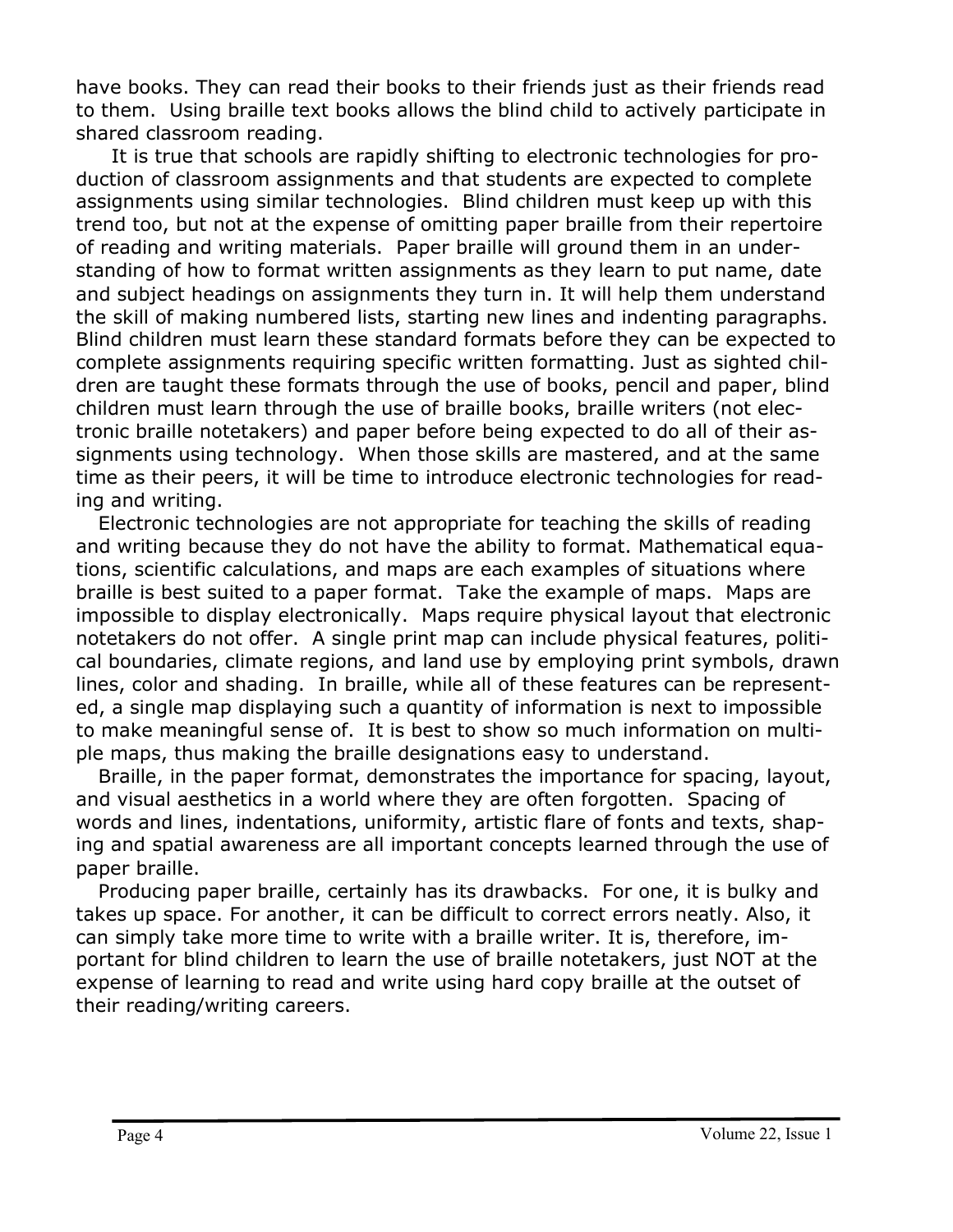have books. They can read their books to their friends just as their friends read to them. Using braille text books allows the blind child to actively participate in shared classroom reading.

 It is true that schools are rapidly shifting to electronic technologies for production of classroom assignments and that students are expected to complete assignments using similar technologies. Blind children must keep up with this trend too, but not at the expense of omitting paper braille from their repertoire of reading and writing materials. Paper braille will ground them in an understanding of how to format written assignments as they learn to put name, date and subject headings on assignments they turn in. It will help them understand the skill of making numbered lists, starting new lines and indenting paragraphs. Blind children must learn these standard formats before they can be expected to complete assignments requiring specific written formatting. Just as sighted children are taught these formats through the use of books, pencil and paper, blind children must learn through the use of braille books, braille writers (not electronic braille notetakers) and paper before being expected to do all of their assignments using technology. When those skills are mastered, and at the same time as their peers, it will be time to introduce electronic technologies for reading and writing.

Electronic technologies are not appropriate for teaching the skills of reading and writing because they do not have the ability to format. Mathematical equations, scientific calculations, and maps are each examples of situations where braille is best suited to a paper format. Take the example of maps. Maps are impossible to display electronically. Maps require physical layout that electronic notetakers do not offer. A single print map can include physical features, political boundaries, climate regions, and land use by employing print symbols, drawn lines, color and shading. In braille, while all of these features can be represented, a single map displaying such a quantity of information is next to impossible to make meaningful sense of. It is best to show so much information on multiple maps, thus making the braille designations easy to understand.

Braille, in the paper format, demonstrates the importance for spacing, layout, and visual aesthetics in a world where they are often forgotten. Spacing of words and lines, indentations, uniformity, artistic flare of fonts and texts, shaping and spatial awareness are all important concepts learned through the use of paper braille.

Producing paper braille, certainly has its drawbacks. For one, it is bulky and takes up space. For another, it can be difficult to correct errors neatly. Also, it can simply take more time to write with a braille writer. It is, therefore, important for blind children to learn the use of braille notetakers, just NOT at the expense of learning to read and write using hard copy braille at the outset of their reading/writing careers.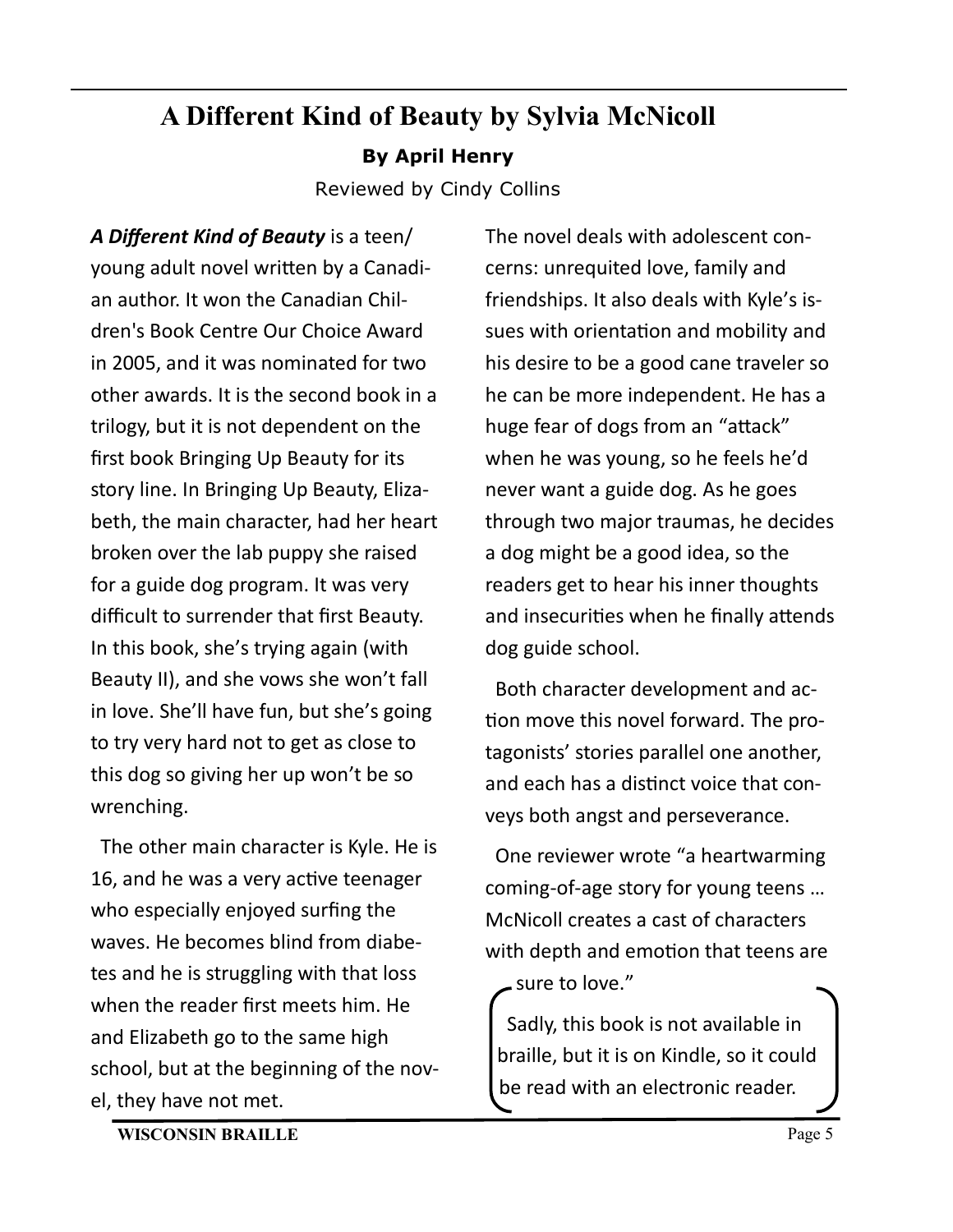# **A Different Kind of Beauty by Sylvia McNicoll By April Henry**

Reviewed by Cindy Collins

*A Different Kind of Beauty* is a teen/ young adult novel written by a Canadian author. It won the Canadian Children's Book Centre Our Choice Award in 2005, and it was nominated for two other awards. It is the second book in a trilogy, but it is not dependent on the first book Bringing Up Beauty for its story line. In Bringing Up Beauty, Elizabeth, the main character, had her heart broken over the lab puppy she raised for a guide dog program. It was very difficult to surrender that first Beauty. In this book, she's trying again (with Beauty II), and she vows she won't fall in love. She'll have fun, but she's going to try very hard not to get as close to this dog so giving her up won't be so wrenching.

 The other main character is Kyle. He is 16, and he was a very active teenager who especially enjoyed surfing the waves. He becomes blind from diabetes and he is struggling with that loss when the reader first meets him. He and Elizabeth go to the same high school, but at the beginning of the novel, they have not met.

The novel deals with adolescent concerns: unrequited love, family and friendships. It also deals with Kyle's issues with orientation and mobility and his desire to be a good cane traveler so he can be more independent. He has a huge fear of dogs from an "attack" when he was young, so he feels he'd never want a guide dog. As he goes through two major traumas, he decides a dog might be a good idea, so the readers get to hear his inner thoughts and insecurities when he finally attends dog guide school.

 Both character development and action move this novel forward. The protagonists' stories parallel one another, and each has a distinct voice that conveys both angst and perseverance.

 One reviewer wrote "a heartwarming coming-of-age story for young teens … McNicoll creates a cast of characters with depth and emotion that teens are sure to love."

 Sadly, this book is not available in braille, but it is on Kindle, so it could be read with an electronic reader.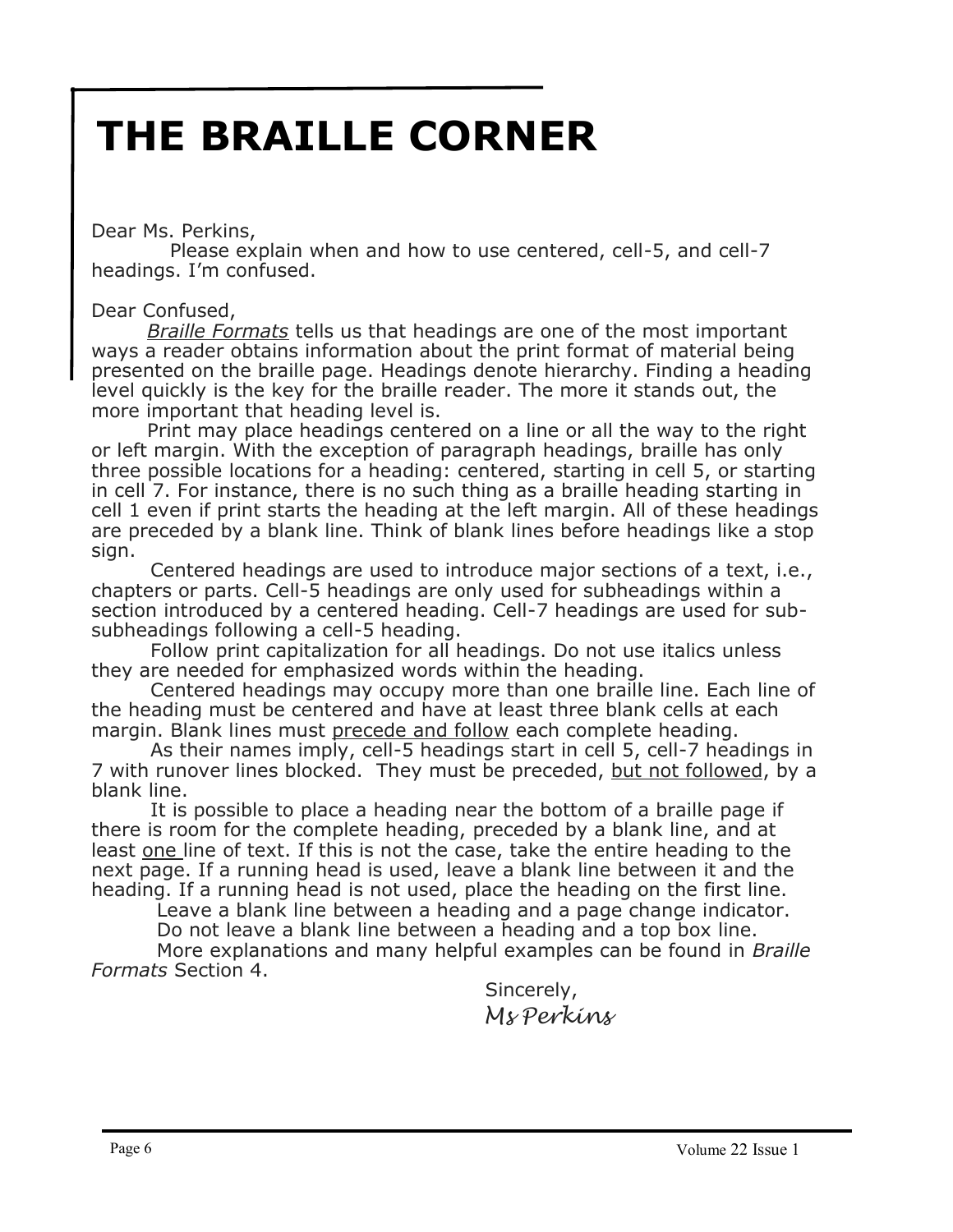# **THE BRAILLE CORNER**

Dear Ms. Perkins,

 Please explain when and how to use centered, cell-5, and cell-7 headings. I'm confused.

Dear Confused,

*Braille Formats* tells us that headings are one of the most important ways a reader obtains information about the print format of material being presented on the braille page. Headings denote hierarchy. Finding a heading level quickly is the key for the braille reader. The more it stands out, the more important that heading level is.

Print may place headings centered on a line or all the way to the right or left margin. With the exception of paragraph headings, braille has only three possible locations for a heading: centered, starting in cell 5, or starting in cell 7. For instance, there is no such thing as a braille heading starting in cell 1 even if print starts the heading at the left margin. All of these headings are preceded by a blank line. Think of blank lines before headings like a stop sign.

 Centered headings are used to introduce major sections of a text, i.e., chapters or parts. Cell-5 headings are only used for subheadings within a section introduced by a centered heading. Cell-7 headings are used for subsubheadings following a cell-5 heading.

 Follow print capitalization for all headings. Do not use italics unless they are needed for emphasized words within the heading.

 Centered headings may occupy more than one braille line. Each line of the heading must be centered and have at least three blank cells at each margin. Blank lines must precede and follow each complete heading.

 As their names imply, cell-5 headings start in cell 5, cell-7 headings in 7 with runover lines blocked. They must be preceded, but not followed, by a blank line.

 It is possible to place a heading near the bottom of a braille page if there is room for the complete heading, preceded by a blank line, and at least one line of text. If this is not the case, take the entire heading to the next page. If a running head is used, leave a blank line between it and the heading. If a running head is not used, place the heading on the first line.

Leave a blank line between a heading and a page change indicator.

 Do not leave a blank line between a heading and a top box line. More explanations and many helpful examples can be found in *Braille* 

*Formats* Section 4.

 Sincerely, *Ms Perkins*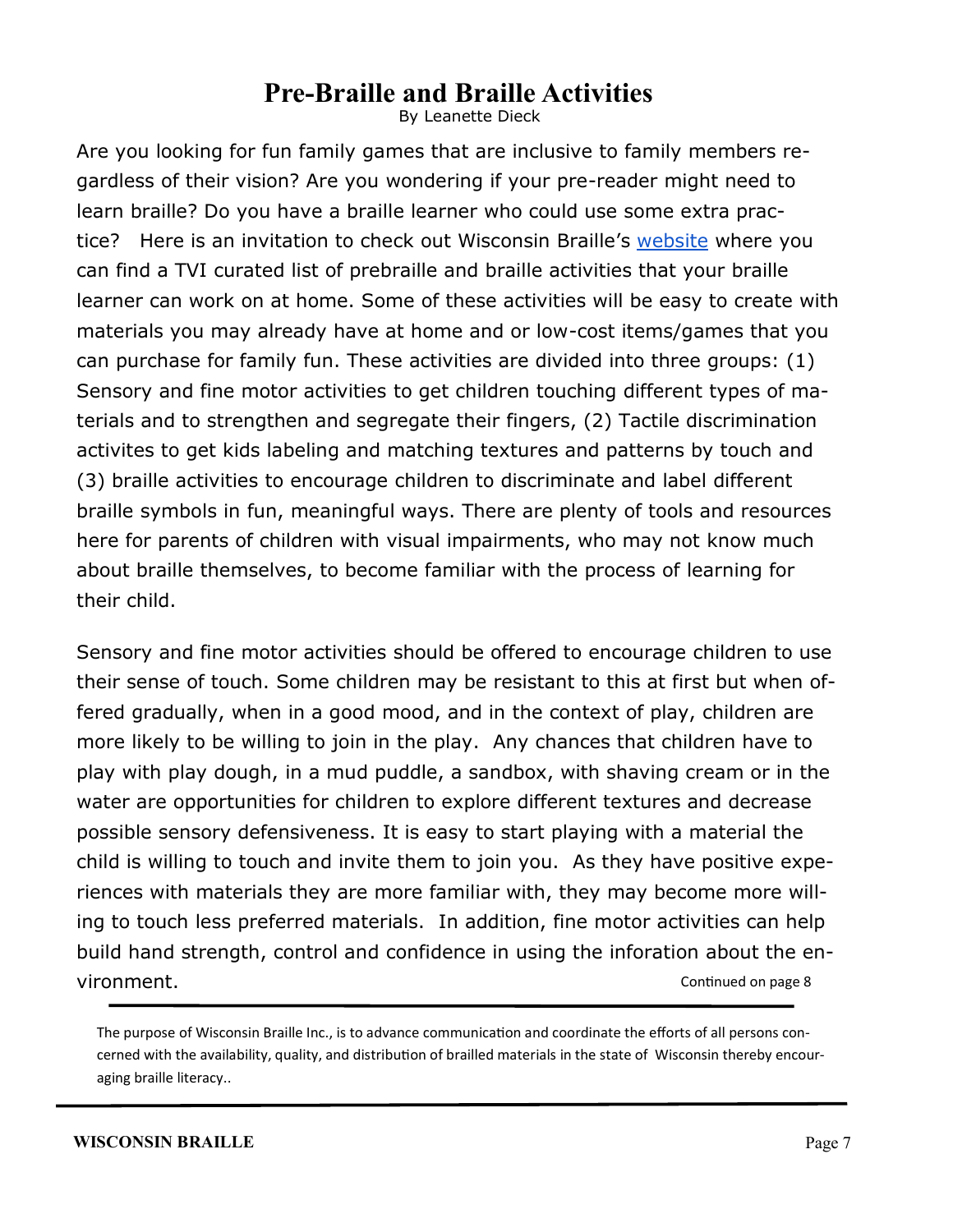# **Pre-Braille and Braille Activities**

By Leanette Dieck

Are you looking for fun family games that are inclusive to family members regardless of their vision? Are you wondering if your pre-reader might need to learn braille? Do you have a braille learner who could use some extra practice? Here is an invitation to check out Wisconsin Braille's [website](https://www.wisbrl.org/) where you can find a TVI curated list of prebraille and braille activities that your braille learner can work on at home. Some of these activities will be easy to create with materials you may already have at home and or low-cost items/games that you can purchase for family fun. These activities are divided into three groups: (1) Sensory and fine motor activities to get children touching different types of materials and to strengthen and segregate their fingers, (2) Tactile discrimination activites to get kids labeling and matching textures and patterns by touch and (3) braille activities to encourage children to discriminate and label different braille symbols in fun, meaningful ways. There are plenty of tools and resources here for parents of children with visual impairments, who may not know much about braille themselves, to become familiar with the process of learning for their child.

Sensory and fine motor activities should be offered to encourage children to use their sense of touch. Some children may be resistant to this at first but when offered gradually, when in a good mood, and in the context of play, children are more likely to be willing to join in the play. Any chances that children have to play with play dough, in a mud puddle, a sandbox, with shaving cream or in the water are opportunities for children to explore different textures and decrease possible sensory defensiveness. It is easy to start playing with a material the child is willing to touch and invite them to join you. As they have positive experiences with materials they are more familiar with, they may become more willing to touch less preferred materials. In addition, fine motor activities can help build hand strength, control and confidence in using the inforation about the environment. Continued on page 8

The purpose of Wisconsin Braille Inc., is to advance communication and coordinate the efforts of all persons concerned with the availability, quality, and distribution of brailled materials in the state of Wisconsin thereby encouraging braille literacy..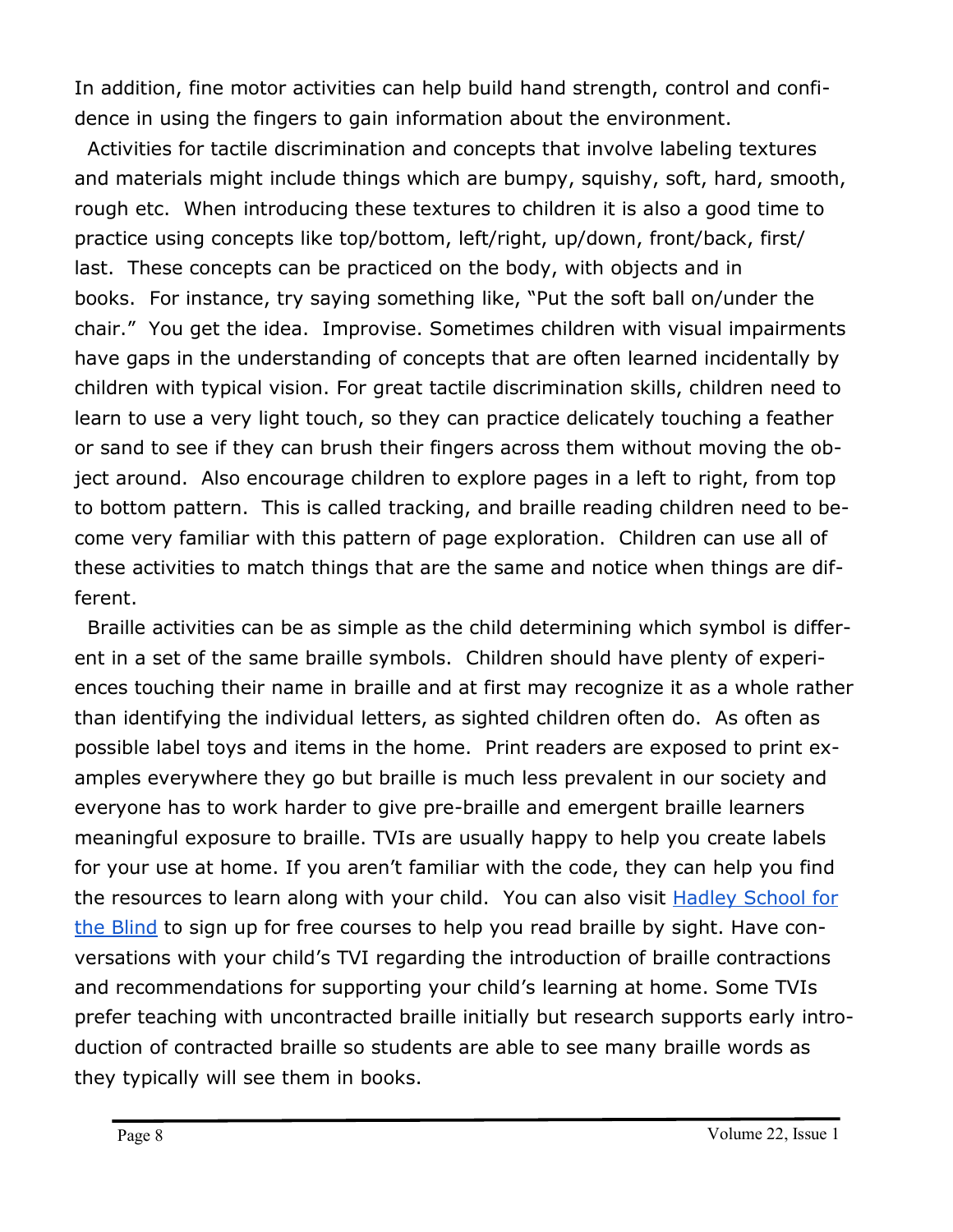In addition, fine motor activities can help build hand strength, control and confidence in using the fingers to gain information about the environment.

 Activities for tactile discrimination and concepts that involve labeling textures and materials might include things which are bumpy, squishy, soft, hard, smooth, rough etc. When introducing these textures to children it is also a good time to practice using concepts like top/bottom, left/right, up/down, front/back, first/ last. These concepts can be practiced on the body, with objects and in books. For instance, try saying something like, "Put the soft ball on/under the chair." You get the idea. Improvise. Sometimes children with visual impairments have gaps in the understanding of concepts that are often learned incidentally by children with typical vision. For great tactile discrimination skills, children need to learn to use a very light touch, so they can practice delicately touching a feather or sand to see if they can brush their fingers across them without moving the object around. Also encourage children to explore pages in a left to right, from top to bottom pattern. This is called tracking, and braille reading children need to become very familiar with this pattern of page exploration. Children can use all of these activities to match things that are the same and notice when things are different.

Braille activities can be as simple as the child determining which symbol is different in a set of the same braille symbols. Children should have plenty of experiences touching their name in braille and at first may recognize it as a whole rather than identifying the individual letters, as sighted children often do. As often as possible label toys and items in the home. Print readers are exposed to print examples everywhere they go but braille is much less prevalent in our society and everyone has to work harder to give pre-braille and emergent braille learners meaningful exposure to braille. TVIs are usually happy to help you create labels for your use at home. If you aren't familiar with the code, they can help you find the resources to learn along with your child. You can also visit **Hadley School for** [the Blind](https://hadley.edu/) to sign up for free courses to help you read braille by sight. Have conversations with your child's TVI regarding the introduction of braille contractions and recommendations for supporting your child's learning at home. Some TVIs prefer teaching with uncontracted braille initially but research supports early introduction of contracted braille so students are able to see many braille words as they typically will see them in books.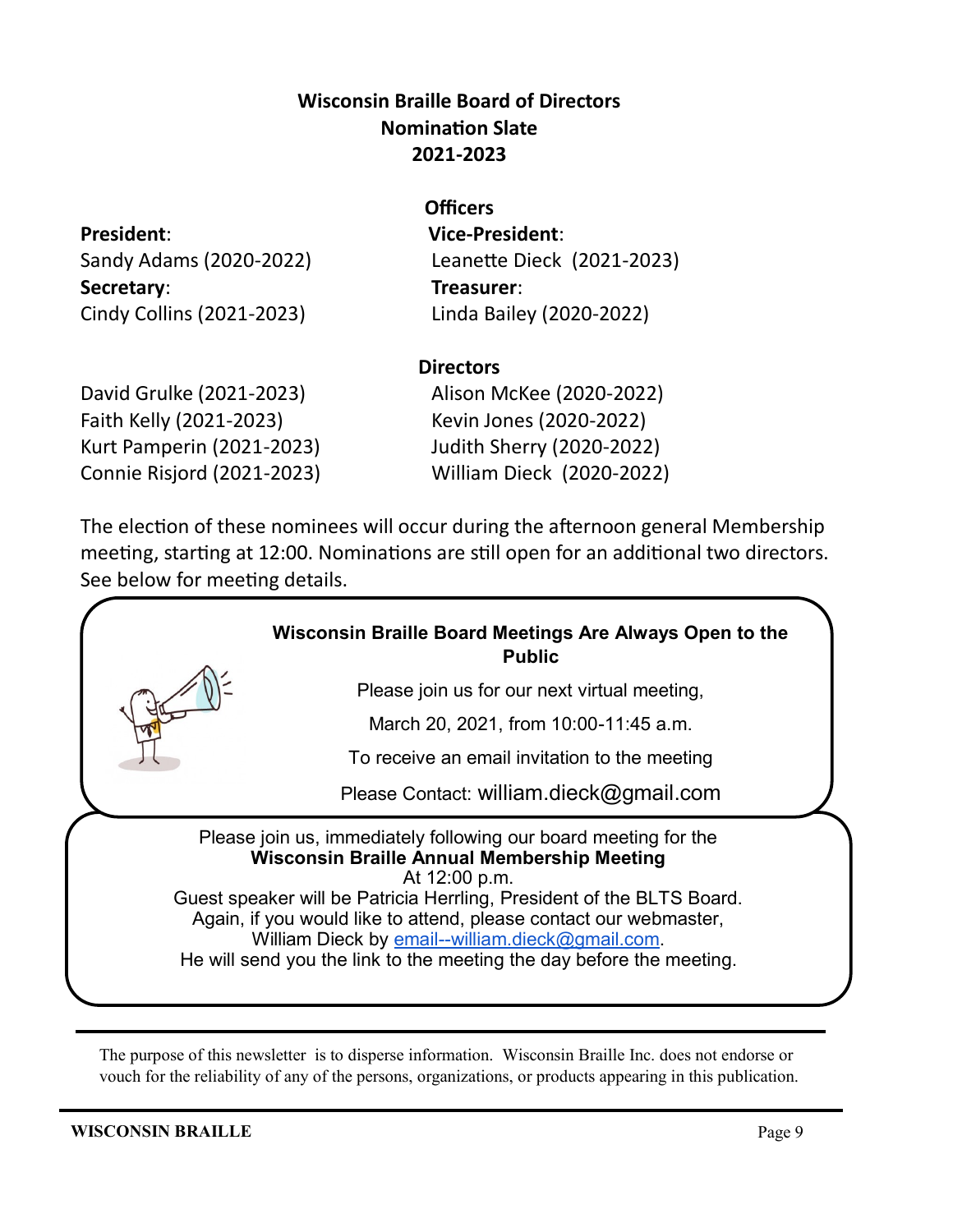## **Wisconsin Braille Board of Directors Nomination Slate 2021-2023**

**Secretary**: **Treasurer**: Cindy Collins (2021-2023) Linda Bailey (2020-2022)

## **Officers**

**President**: **Vice-President**: Sandy Adams (2020-2022) Leanette Dieck (2021-2023)

#### **Directors**

David Grulke (2021-2023) Alison McKee (2020-2022) Faith Kelly (2021-2023) Kevin Jones (2020-2022) Kurt Pamperin (2021-2023) Judith Sherry (2020-2022) Connie Risjord (2021-2023) William Dieck (2020-2022)

The election of these nominees will occur during the afternoon general Membership meeting, starting at 12:00. Nominations are still open for an additional two directors. See below for meeting details.

## **Wisconsin Braille Board Meetings Are Always Open to the Public**

Please join us for our next virtual meeting,

March 20, 2021, from 10:00-11:45 a.m.

To receive an email invitation to the meeting

Please Contact: william.dieck@gmail.com

Please join us, immediately following our board meeting for the **Wisconsin Braille Annual Membership Meeting**  At 12:00 p.m.

Guest speaker will be Patricia Herrling, President of the BLTS Board. Again, if you would like to attend, please contact our webmaster, William Dieck by email--[william.dieck@gmail.com.](mailto:email--william.dieck@gmail.com) He will send you the link to the meeting the day before the meeting.

The purpose of this newsletter is to disperse information. Wisconsin Braille Inc. does not endorse or vouch for the reliability of any of the persons, organizations, or products appearing in this publication.